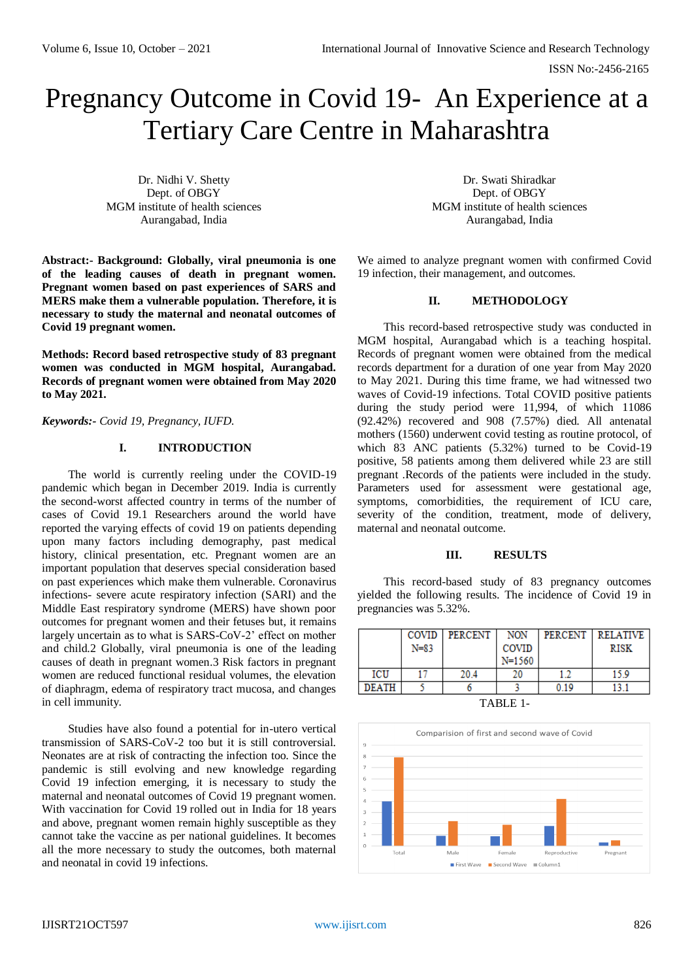# Pregnancy Outcome in Covid 19- An Experience at a Tertiary Care Centre in Maharashtra

Dr. Nidhi V. Shetty Dept. of OBGY MGM institute of health sciences Aurangabad, India

**Abstract:- Background: Globally, viral pneumonia is one of the leading causes of death in pregnant women. Pregnant women based on past experiences of SARS and MERS make them a vulnerable population. Therefore, it is necessary to study the maternal and neonatal outcomes of Covid 19 pregnant women.**

**Methods: Record based retrospective study of 83 pregnant women was conducted in MGM hospital, Aurangabad. Records of pregnant women were obtained from May 2020 to May 2021.** 

*Keywords:- Covid 19, Pregnancy, IUFD.*

### **I. INTRODUCTION**

The world is currently reeling under the COVID-19 pandemic which began in December 2019. India is currently the second-worst affected country in terms of the number of cases of Covid 19.1 Researchers around the world have reported the varying effects of covid 19 on patients depending upon many factors including demography, past medical history, clinical presentation, etc. Pregnant women are an important population that deserves special consideration based on past experiences which make them vulnerable. Coronavirus infections- severe acute respiratory infection (SARI) and the Middle East respiratory syndrome (MERS) have shown poor outcomes for pregnant women and their fetuses but, it remains largely uncertain as to what is SARS-CoV-2' effect on mother and child.2 Globally, viral pneumonia is one of the leading causes of death in pregnant women.3 Risk factors in pregnant women are reduced functional residual volumes, the elevation of diaphragm, edema of respiratory tract mucosa, and changes in cell immunity.

Studies have also found a potential for in-utero vertical transmission of SARS-CoV-2 too but it is still controversial. Neonates are at risk of contracting the infection too. Since the pandemic is still evolving and new knowledge regarding Covid 19 infection emerging, it is necessary to study the maternal and neonatal outcomes of Covid 19 pregnant women. With vaccination for Covid 19 rolled out in India for 18 years and above, pregnant women remain highly susceptible as they cannot take the vaccine as per national guidelines. It becomes all the more necessary to study the outcomes, both maternal and neonatal in covid 19 infections.

Dr. Swati Shiradkar Dept. of OBGY MGM institute of health sciences Aurangabad, India

We aimed to analyze pregnant women with confirmed Covid 19 infection, their management, and outcomes.

### **II. METHODOLOGY**

This record-based retrospective study was conducted in MGM hospital, Aurangabad which is a teaching hospital. Records of pregnant women were obtained from the medical records department for a duration of one year from May 2020 to May 2021. During this time frame, we had witnessed two waves of Covid-19 infections. Total COVID positive patients during the study period were 11,994, of which 11086 (92.42%) recovered and 908 (7.57%) died. All antenatal mothers (1560) underwent covid testing as routine protocol, of which 83 ANC patients (5.32%) turned to be Covid-19 positive, 58 patients among them delivered while 23 are still pregnant .Records of the patients were included in the study. Parameters used for assessment were gestational age, symptoms, comorbidities, the requirement of ICU care, severity of the condition, treatment, mode of delivery, maternal and neonatal outcome.

### **III. RESULTS**

This record-based study of 83 pregnancy outcomes yielded the following results. The incidence of Covid 19 in pregnancies was 5.32%.

|              |          | COVID PERCENT | NON        |      | PERCENT   RELATIVE |  |
|--------------|----------|---------------|------------|------|--------------------|--|
|              | $N = 83$ |               | COVID      |      | RISK               |  |
|              |          |               | $N = 1560$ |      |                    |  |
| ICU          |          | 20.4          | 20         | 12   | 15.9               |  |
| <b>DEATH</b> |          |               |            | 0.19 | 13.1               |  |
| TARI E 1     |          |               |            |      |                    |  |



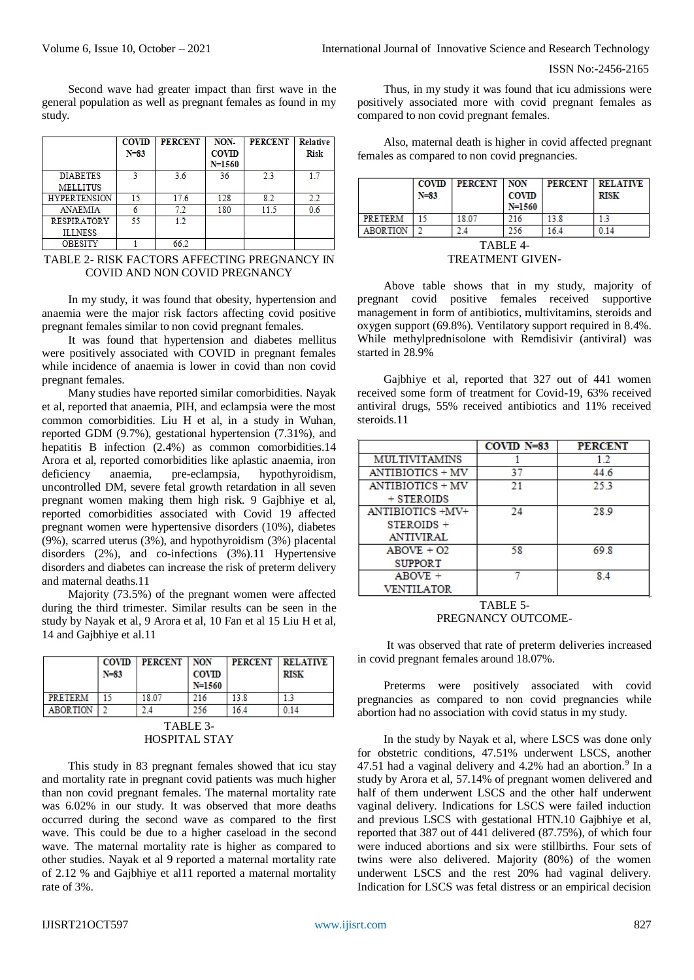ISSN No:-2456-2165

Second wave had greater impact than first wave in the general population as well as pregnant females as found in my study.

|                     | <b>COVID</b> | <b>PERCENT</b> | NON-         | <b>PERCENT</b> | <b>Relative</b> |
|---------------------|--------------|----------------|--------------|----------------|-----------------|
|                     | $N = 83$     |                | <b>COVID</b> |                | <b>Risk</b>     |
|                     |              |                | N=1560       |                |                 |
| <b>DIABETES</b>     | 2            | 3.6            | 36           | 23             | 17              |
| <b>MELLITUS</b>     |              |                |              |                |                 |
| <b>HYPERTENSION</b> | 15           | 17.6           | 128          | 8.2            | 2.2             |
| <b>ANAEMIA</b>      |              | 7.2            | 180          | 11.5           | 0.6             |
| <b>RESPIRATORY</b>  | 55           | 1.2            |              |                |                 |
| <b>ILLNESS</b>      |              |                |              |                |                 |
| <b>OBESITY</b>      |              | 66.2           |              |                |                 |

TABLE 2- RISK FACTORS AFFECTING PREGNANCY IN COVID AND NON COVID PREGNANCY

In my study, it was found that obesity, hypertension and anaemia were the major risk factors affecting covid positive pregnant females similar to non covid pregnant females.

It was found that hypertension and diabetes mellitus were positively associated with COVID in pregnant females while incidence of anaemia is lower in covid than non covid pregnant females.

Many studies have reported similar comorbidities. Nayak et al, reported that anaemia, PIH, and eclampsia were the most common comorbidities. Liu H et al, in a study in Wuhan, reported GDM (9.7%), gestational hypertension (7.31%), and hepatitis B infection (2.4%) as common comorbidities.14 Arora et al, reported comorbidities like aplastic anaemia, iron deficiency anaemia, pre-eclampsia, hypothyroidism, uncontrolled DM, severe fetal growth retardation in all seven pregnant women making them high risk. 9 Gajbhiye et al, reported comorbidities associated with Covid 19 affected pregnant women were hypertensive disorders (10%), diabetes (9%), scarred uterus (3%), and hypothyroidism (3%) placental disorders (2%), and co-infections (3%).11 Hypertensive disorders and diabetes can increase the risk of preterm delivery and maternal deaths.11

Majority (73.5%) of the pregnant women were affected during the third trimester. Similar results can be seen in the study by Nayak et al, 9 Arora et al, 10 Fan et al 15 Liu H et al, 14 and Gajbhiye et al.11

|                 | <b>COVID</b><br>$N=83$ | <b>PERCENT   NON</b> | <b>COVID</b><br>N=1560 | <b>PERCENT</b> | <b>RELATIVE</b><br><b>RISK</b> |
|-----------------|------------------------|----------------------|------------------------|----------------|--------------------------------|
| <b>PRETERM</b>  |                        | 18.07                | 216                    | 13.8           |                                |
| <b>ABORTION</b> |                        |                      | 256                    | 16.4           | 0.14                           |
| TABLE 3         |                        |                      |                        |                |                                |

# HOSPITAL STAY

This study in 83 pregnant females showed that icu stay and mortality rate in pregnant covid patients was much higher than non covid pregnant females. The maternal mortality rate was 6.02% in our study. It was observed that more deaths occurred during the second wave as compared to the first wave. This could be due to a higher caseload in the second wave. The maternal mortality rate is higher as compared to other studies. Nayak et al 9 reported a maternal mortality rate of 2.12 % and Gajbhiye et al11 reported a maternal mortality rate of 3%.

Thus, in my study it was found that icu admissions were positively associated more with covid pregnant females as compared to non covid pregnant females.

Also, maternal death is higher in covid affected pregnant females as compared to non covid pregnancies.

|                | <b>COVID</b><br>$N = 83$ | PERCENT   NON | <b>COVID</b><br>N=1560 | <b>PERCENT</b> | <b>RELATIVE</b><br>RISK |
|----------------|--------------------------|---------------|------------------------|----------------|-------------------------|
| <b>PRETERM</b> |                          | 18.07         | 216                    | 13.8           |                         |
| ABORTION       |                          |               | 256                    | 16.4           | 0.14                    |
| TABLE 4-       |                          |               |                        |                |                         |

TREATMENT GIVEN-

Above table shows that in my study, majority of pregnant covid positive females received supportive management in form of antibiotics, multivitamins, steroids and oxygen support (69.8%). Ventilatory support required in 8.4%. While methylprednisolone with Remdisivir (antiviral) was started in 28.9%

Gajbhiye et al, reported that 327 out of 441 women received some form of treatment for Covid-19, 63% received antiviral drugs, 55% received antibiotics and 11% received steroids.11

|                         | $COVID$ N=83 | <b>PERCENT</b> |
|-------------------------|--------------|----------------|
| <b>MULTIVITAMINS</b>    |              | 12             |
| ANTIBIOTICS + MV        | 37           | 44.6           |
| <b>ANTIBIOTICS + MV</b> | 21           | 25.3           |
| + STEROIDS              |              |                |
| ANTIBIOTICS +MV+        | 24           | 28.9           |
| STEROIDS +              |              |                |
| <b>ANTIVIRAL</b>        |              |                |
| $ABOVE + O2$            | 58           | 69.8           |
| <b>SUPPORT</b>          |              |                |
| $ABOVE +$               |              | 84             |
| <b>VENTILATOR</b>       |              |                |

TABLE 5- PREGNANCY OUTCOME-

It was observed that rate of preterm deliveries increased in covid pregnant females around 18.07%.

Preterms were positively associated with covid pregnancies as compared to non covid pregnancies while abortion had no association with covid status in my study.

In the study by Nayak et al, where LSCS was done only for obstetric conditions, 47.51% underwent LSCS, another 47.51 had a vaginal delivery and  $4.2\%$  had an abortion.<sup>9</sup> In a study by Arora et al, 57.14% of pregnant women delivered and half of them underwent LSCS and the other half underwent vaginal delivery. Indications for LSCS were failed induction and previous LSCS with gestational HTN.10 Gajbhiye et al, reported that 387 out of 441 delivered (87.75%), of which four were induced abortions and six were stillbirths. Four sets of twins were also delivered. Majority (80%) of the women underwent LSCS and the rest 20% had vaginal delivery. Indication for LSCS was fetal distress or an empirical decision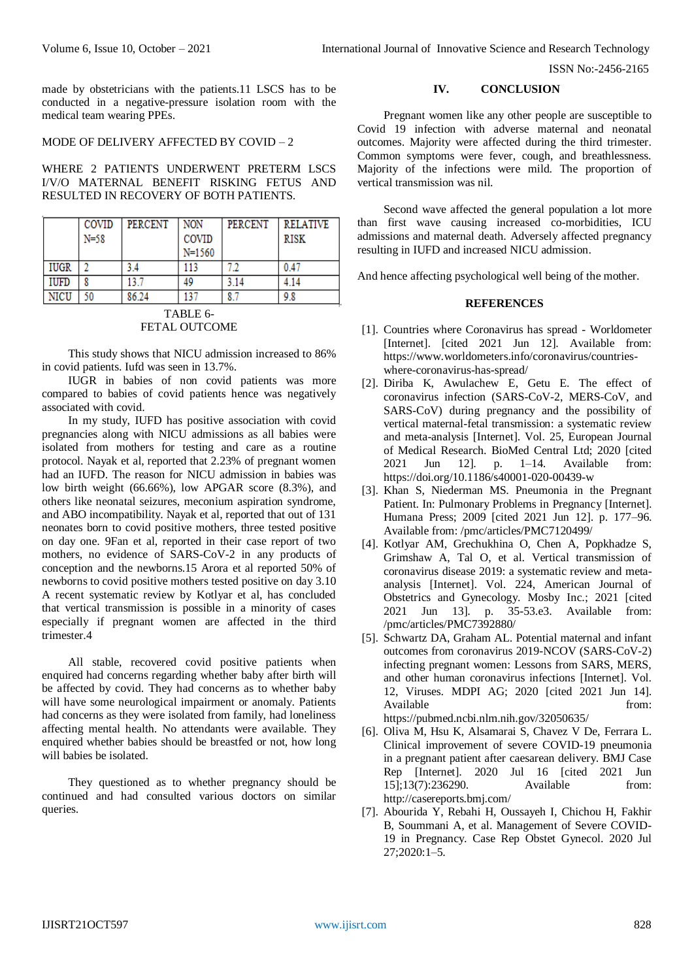ISSN No:-2456-2165

made by obstetricians with the patients.11 LSCS has to be conducted in a negative-pressure isolation room with the medical team wearing PPEs.

### MODE OF DELIVERY AFFECTED BY COVID – 2

WHERE 2 PATIENTS UNDERWENT PRETERM LSCS I/V/O MATERNAL BENEFIT RISKING FETUS AND RESULTED IN RECOVERY OF BOTH PATIENTS.

|             | COVID<br>$N = 58$ | <b>PERCENT</b> | <b>NON</b><br>COVID<br>$N = 1560$ | PERCENT | <b>RELATIVE</b><br>RISK |
|-------------|-------------------|----------------|-----------------------------------|---------|-------------------------|
| <b>IUGR</b> |                   |                | 113                               |         | 0.47                    |
| IUFD        |                   | 13.7           | 49                                | 3.14    | 4.14                    |
| NICU        | 50                | 86.24          | 137                               | 8.7     | 9.8                     |

#### TABLE 6- FETAL OUTCOME

This study shows that NICU admission increased to 86% in covid patients. Iufd was seen in 13.7%.

IUGR in babies of non covid patients was more compared to babies of covid patients hence was negatively associated with covid.

In my study, IUFD has positive association with covid pregnancies along with NICU admissions as all babies were isolated from mothers for testing and care as a routine protocol. Nayak et al, reported that 2.23% of pregnant women had an IUFD. The reason for NICU admission in babies was low birth weight (66.66%), low APGAR score (8.3%), and others like neonatal seizures, meconium aspiration syndrome, and ABO incompatibility. Nayak et al, reported that out of 131 neonates born to covid positive mothers, three tested positive on day one. 9Fan et al, reported in their case report of two mothers, no evidence of SARS-CoV-2 in any products of conception and the newborns.15 Arora et al reported 50% of newborns to covid positive mothers tested positive on day 3.10 A recent systematic review by Kotlyar et al, has concluded that vertical transmission is possible in a minority of cases especially if pregnant women are affected in the third trimester.4

All stable, recovered covid positive patients when enquired had concerns regarding whether baby after birth will be affected by covid. They had concerns as to whether baby will have some neurological impairment or anomaly. Patients had concerns as they were isolated from family, had loneliness affecting mental health. No attendants were available. They enquired whether babies should be breastfed or not, how long will babies be isolated.

They questioned as to whether pregnancy should be continued and had consulted various doctors on similar queries.

### **IV. CONCLUSION**

Pregnant women like any other people are susceptible to Covid 19 infection with adverse maternal and neonatal outcomes. Majority were affected during the third trimester. Common symptoms were fever, cough, and breathlessness. Majority of the infections were mild. The proportion of vertical transmission was nil.

Second wave affected the general population a lot more than first wave causing increased co-morbidities, ICU admissions and maternal death. Adversely affected pregnancy resulting in IUFD and increased NICU admission.

And hence affecting psychological well being of the mother.

## **REFERENCES**

- [1]. Countries where Coronavirus has spread Worldometer [Internet]. [cited 2021 Jun 12]. Available from: https://www.worldometers.info/coronavirus/countrieswhere-coronavirus-has-spread/
- [2]. Diriba K, Awulachew E, Getu E. The effect of coronavirus infection (SARS-CoV-2, MERS-CoV, and SARS-CoV) during pregnancy and the possibility of vertical maternal-fetal transmission: a systematic review and meta-analysis [Internet]. Vol. 25, European Journal of Medical Research. BioMed Central Ltd; 2020 [cited 2021 Jun 12]. p. 1–14. Available from: https://doi.org/10.1186/s40001-020-00439-w
- [3]. Khan S, Niederman MS. Pneumonia in the Pregnant Patient. In: Pulmonary Problems in Pregnancy [Internet]. Humana Press; 2009 [cited 2021 Jun 12]. p. 177–96. Available from: /pmc/articles/PMC7120499/
- [4]. Kotlyar AM, Grechukhina O, Chen A, Popkhadze S, Grimshaw A, Tal O, et al. Vertical transmission of coronavirus disease 2019: a systematic review and metaanalysis [Internet]. Vol. 224, American Journal of Obstetrics and Gynecology. Mosby Inc.; 2021 [cited 2021 Jun 13]. p. 35-53.e3. Available from: /pmc/articles/PMC7392880/
- [5]. Schwartz DA, Graham AL. Potential maternal and infant outcomes from coronavirus 2019-NCOV (SARS-CoV-2) infecting pregnant women: Lessons from SARS, MERS, and other human coronavirus infections [Internet]. Vol. 12, Viruses. MDPI AG; 2020 [cited 2021 Jun 14]. Available from: https://pubmed.ncbi.nlm.nih.gov/32050635/
- [6]. Oliva M, Hsu K, Alsamarai S, Chavez V De, Ferrara L. Clinical improvement of severe COVID-19 pneumonia in a pregnant patient after caesarean delivery. BMJ Case Rep [Internet]. 2020 Jul 16 [cited 2021 Jun 15];13(7):236290. Available from: http://casereports.bmj.com/
- [7]. Abourida Y, Rebahi H, Oussayeh I, Chichou H, Fakhir B, Soummani A, et al. Management of Severe COVID-19 in Pregnancy. Case Rep Obstet Gynecol. 2020 Jul 27;2020:1–5.